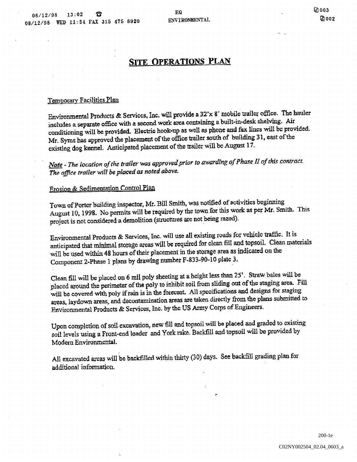# SITE OPERATIONS PLAN

# Ternyorary Facilities Plan

Environmental Products & Services, Inc. will provide a  $32 \times 8$  mobile trailer office. The hauler includes a separate office with a second work area containing a built-in-desk shelving. Air conditioning will be provided. Electric hook-up as well as phone and fax lines will be provided. Mr. Syms has approved the placement of the office trailer south of building 31, east of the existing dog kennel. Anticipated placement of the trailer will be August 17.

Note - The location of the trailer was approved prior to awarding of Phase II of this contract. The office trailer will be placed as noted above.

# Erosion & Sedimentation Control Plan

Town of Porter building inspector, Mr. Bill Smith, was notified of activities beginning August 10, 1998. No permits will be required by the town for this work as per Mr. Smith. This project is not considered a demolition (structures are not being razed).

Environmental Products & Services, Inc. will use all existing roads for vehicle traffic. It is anticipated that minimal storage areas will be required for clean fill and topsoil. Clean materials will be used within <sup>48</sup> hours of their placement in the storage area as indicated on the Component 2-Phase 1 plans by drawing number F-833-90-10 plate 3.

Clean fill will be placed on 6 mil poly sheeting at a height less than 25'. Straw bales will be placed around the perimeter of the poly to inhibit soil from sliding out of the staging area. Fill will be covered with poly if rain is in the forecast. All specifications and designs for staging areas, laydown areas, and decontamination areas are taken directly from the plans submitted to Environmental Products & Services, Inc. by the US Army Corps of Engineers.

Upon completion of soil excavation, new fill and topsoil will be placed and graded to existing soil levels using a Front-end loader and York rake. Backfill and topsoil will be provided by Modern Environmental

All excavated areas will be backfilled within thirty (30) days. See backfill grading plan for additional information

> C02NY002504\_02.04\_0603\_a 200-1e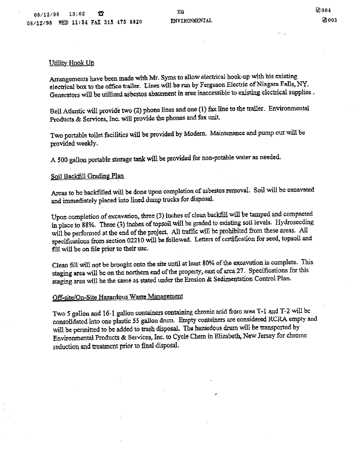# Utility Hook Up

Arrangements have been made with Mr. Syms to allow electrical hook-up with his existing electrical box to the office trailer. Lines will be run by Ferguson Electric of Niagara Falls, NY. Generators will be utilized asbestos abatement in area inaccessible to existing electrical supplies.

Bell Atlantic will provide two (2) phone lines and one (1) fax line to the trailer. Environmental Products & Services, Inc. will provide the phones and fax unit.

Two portable toilet facilities will be provided by Modern. Maintenance and pump out will be provided weekly

<sup>500</sup> gallon portable storage tank will be provided for non-potable water as needed

# Soil Backfill Grading Plan

Areas to be backfilled will be done upon completion of asbestos removal. Soil will be excavated and immediately placed into lined dump trucks for disposal.

Upon completion of excavation, three (3) inches of clean backfill will be tamped and compacted in place to 88%. Three (3) inches of topsoil will be graded to existing soil levels. Hydroseeding will be performed at the end of the project. All traffic will be prohibited from these areas. All specifications from section 02210 will be followed. Letters of certification for seed, topsoil and fill will be on file prior to their use.

Clean fill will not be brought onto the site until at least 80% of the excavation is complete. This staging area will be on the northern end of the property, east of area 27. Specifications for this staging area will be the same as stated under the Erosion & Sedimentation Control Plan.

# Off-site/On-Site Hazardous Waste Management

Two 5 gallon and 16-1 gallon containers containing chronic acid from area T-1 and T-2 will be consolidated into one plastic <sup>55</sup> gallon drurn Empty containers are considered RCRA empty and will be permitted to be added to trash disposal. The hazardous drum will be transported by Environmental Products & Services, Inc. to Cycle Chem in Elizabeth, New Jersey for chrome reduction and treatment prior to final disposal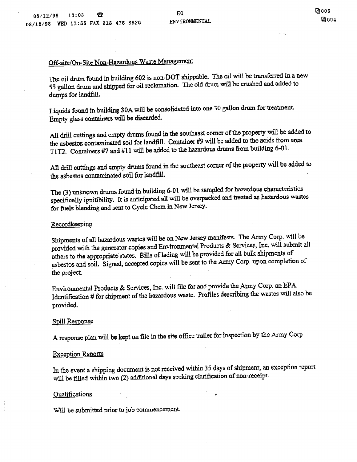# Off-site/On-Site Non-Hazardous Waste Management

The oil drum found in building 602 is non-DOT shippable. The oil will be transferred in a new <sup>55</sup> gallon drum and shipped for oil reclamation The old drum will be crushed and added to dumps for landfilL

Liquids found in building 30A will be consolidated into one 30 gallon drum for treatment. Empty glass containers will be discarded

All drill cuttings and empty drums found in the southeast corner of the property will be added to the asbestos contaminated soil for landfill. Container #9 will be added to the acids from area T1T2. Containers #7 and #11 will be added to the hazardous drums from building 6-01.

All drill cuttings and empty drums found in the southeast corner of the propeity will be added to the asbestos contaminated soil for landfill

The (3) unknown drums found in building 6-01 will be sampled for hazardous characteristics specifically ignitibility. It is anticipated all will be overpacked and treated as hazardous wastes for fuels blending and sent to Cycle Chem in New Jersey

## Recordkeeping

Shipments of all hazardous wastes will be on New Jersey manifests. The Army Corp. will be provided with the generator copies and Environmental Products & Services, Inc. will submit all others to the appropriate states. Bills of lading will be provided for all bulk shipments of asbestos and soil. Signed, accepted copies will be sent to the Army Corp. upon completion of the project

Environmental Products & Services, Inc. will file for and provide the Anny Corp. an EPA Identification # for shipment of the hazardous waste. Profiles describing the wastes will also be provided

## Spill Response

A response plan will be kept on file in the site office trailer for inspection by the Army Corp.

## Exception Renorts

In the event a shipping document is not received within 35 days of shipment, an exception report will be filled within two (2) additional days seeking clarification of non-receipt.

# Qualifications

Will be submitted prior to job commencement.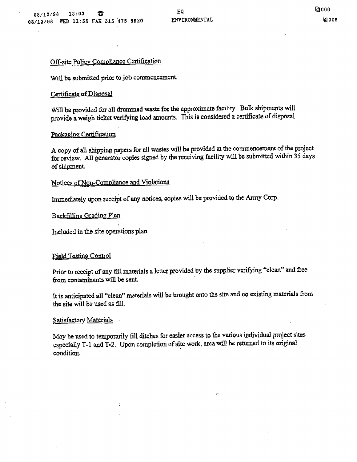# Off-site Policy Compliance Certification

Will be submitted prior to job commencement.

# Certificate of Disposal

Will be provided for all drummed waste for the approximate facility. Bulk shipments will provide a weigh ticket verifying load amounts. This is considered a certificate of disposal

# Packaging Certification

copy of all shipping papers for all wastes will be provided at the commencement of the project for review. All generator copies signed by the receiving facility will be submitted within 35 days of shipment

# Notices of Non-Compliance and Violations

Immediately upon receipt of any notices, copies will be provided to the Army Corp.

# Backtilling\_Grading Plan

Included in the site operations plan

# Field Testing Control

Prior to receipt of any fill materials a letter provided by the supplier verifying "clean" and free from contaminants will be sent.

It is anticipated all "clean" materials will be brought onto the site and no existing materials from the site will be used as filL

# Satisfactory Materials

May be used to temporarily fill ditches for easier access to the various individual project sites especially T-1 and  $T-2$ . Upon completion of site work, area will be returned to its original condition.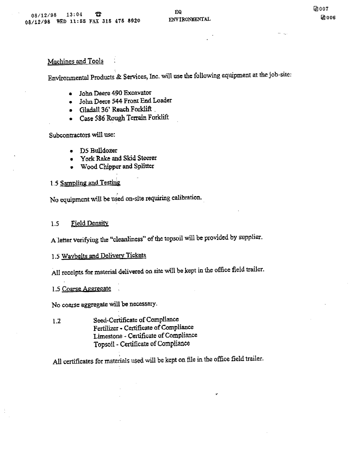# Machines and Tools

Environmental Products & Services, Inc. will use the following equipment at the job-site:

- John Deere 490 Excavator  $\bullet$
- John Deere 544 Front End Loader  $\bullet$
- Gladall 36 Reach Forklift
- Case 586 Rough Terrain Forklift  $\bullet$

Subcontractors will use:

- D5 Bu1ldoer
- York Rake and Skid Steerer  $\bullet$
- Wood Chipper and Splitter

# 1.5 Sampling and Testing

No equipment will be used on-site requiring calibration

# 1.5 Field Density

A letter verifying the "cleanliness" of the topsoil will be provided by supplier.

# 1.5 Waybelts and Delivery Tickets

All receipts for material delivered on site will be kept in the office field trailer

# 1.5 Coarse Aggregate

No coarse aggregate will be necessary-

1.2 Seed-Certificate of Compliance Fertilizer - Certificate of Compliance Limestone - Certificate of Compliance Topsoil - Certificate of Compliance

All certificates for materials used will be kept on file in the office field trailer.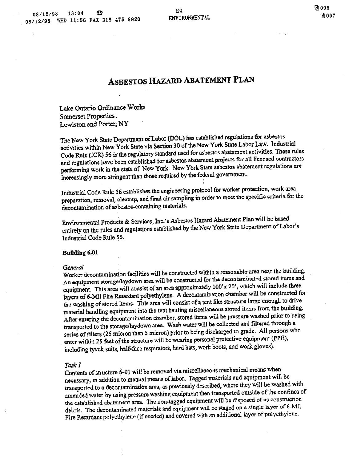# ASBESTOS HAZARD ABATEMENT PLAN

Lake Ontario Ordinance Works Somerset Properties Lewiston and Porter, NY

The New York State Department of Labor (DOL) has established regulations for asbestos activities within New York State via Section 30 of the New York State Labor Law. Industrial Code Rule (ICR) 56 is the regulatory standard used for asbestos abatement activities. These rules and regulations have been established for asbestos abatement projects for all licensed contractors performing work in the state of New York New York State asbestos abatement regulations ate increasingly more stringent than those required by the federal government

Industrial Code Rule 56 establishes the engineering protocol for worker protection, work area preparation, removal, cleanup, and final air sampling in order to meet the specific criteria for the decontamination of asbestos-containing materials

Environmental Products & Services, Inc.'s Asbestos Hazard Abatement Plan will be based entirely on the rules and regulations established by the New York State Department of Labor's Industrial Code Rule 56

#### Buildiug 6.01

#### **General**

Worker decontamination facilities will be constructed within a reasonable area near the building. An equipment storage/laydown area will be constructed for the decontaminated stored items and equipment. This area will consist of an area approximately  $100'x 20'$ , which will include three layers of 6-Mil Fire Retardant polyethylene. A decontamination chamber will be constructed for the washing of stored items. This area will consist of a tent like structure large enough to drive material handling equipment into the tent hauling miscellaneous stored items from the building. After entering the decontamination chamber, stored items will be pressure washed prior to being transported to the storage/laydown area. Wash water will be collected and filtered through a series of filters (25 micron then 5 micron) prior to being discharged to grade. All persons who enter within 25 feet of the structure will be wearing personal protective equipment (PPE), including tyvek suits, half-face respirators, hard hats, work boots, and work gloves).

## Task I

ś

Contents of structure 6-01 will be removed via miscellaneous mechanical means when necessary, in addition to manual means of labor. Tagged materials and equipment will be transported to a decontamination area, as previously described, where they will be washed with amended water by using pressure washing equipment then transported outside of the confines of the established abatement area. The non-tagged equipment will be disposed of as construction debris. The decontaminated materials and equipment will be staged on a single layer of 6-Mil Fire Retardant polyethylene (if needed) and covered with an additional layer of polyethylene.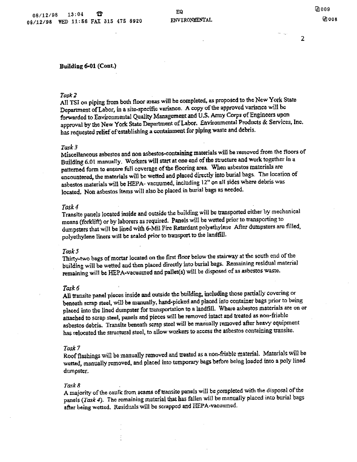### Building 6-01 (Cont.)

#### Task<sub>2</sub>

All TSI on piping from both floor areas will be completed, as proposed to the New York State Department of Labor, in a site-specific variance. A copy of the approved variance will be forwarded to Environmental Quality Management and U.S Army Corps of Engineers upon approval by the New York State Department of Labor. Environmental Products & Services, Inc. has requested relief of establishing a containment for piping waste and debris.

#### Task

Miscellaneous asbestos and non asbestos-containing materials will be removed from the floors of Building 6.01 manually. Workers will start at one end of the structure and work together in a patterned form to ensure full coverage of the flooring area When asbestos materials are encountered, the materials will be wetted and placed directly into burial bags. The location of asbestos materials will be HEFA- vacuumed, including 12" on all sides where debris was located. Non asbestos items will also be placed in burial bags as needed.

#### Task

Transite panels located jnjde and outside the building will be ttansported either by mechanical means (forklift) or by laborers as required. Panels will be wetted prior to transporting to dumpsters that will be lined with 6-Mil Fire Retardant polyethylene After dumpsters are filled. polyethylene liners will be sealed prior to transport to the landfill

#### Task 5

Thirty-two bags of mortar located on the first floor below The stairway at the south end of the building will be wetted and then placed directly into burial bags. Remaining residual material remaining will be HEPA-vacuumed and pallet(s) will be disposed of as asbestos waste.

#### Task

All transite panel pieces inside and outside the building including those partially covering or beneath scrap steel, will be manually, hand-picked and placed into container bags prior to being placed into the lined dumpster for transportation to a landfill. Where asbestos materials are on or attached to scrap steel, panels and pieces will be removed intact and treated as non-friable asbestos debris. Transite beneath scrap steel will be manually removed after heavy equipment has relocated the structural steel, to allow workers to access the asbestos containing transite.

#### Task

Roof flashings will be manually removed and treated as a non-friable material. Materials will be wetted, manually removed, and placed into temporary bags before being loaded into a poly lined dumpster.

#### Task 8

A majority of the caulk from seams of transite panels will be completed with the disposal of the panels (Task 4). The remaining material that has fallen will be manually placed into burial bags after being wetted. Residuals will be scrapped and HEPA-vacuumed.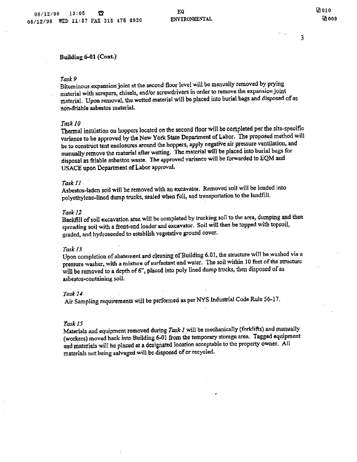# Building 6-01 (Cont.)

### Task

Bituminous expansion joint at the second floor level will be manually removed by prying material with scrapers, chisels, and/or screwdrivers in order to remove the expansion joint material. Upon removal, the wetted material will be placed into burial bags and disposed of as non-friable asbestos material

#### Task 10

Thermal insulation on hoppers located on the second floor will be completed per the site-specific variance to be approved by the New York State Department of Labor. The proposed method will be to construct tent enclosures around the hoppers, apply negative air pressure ventilation, and manually remove the material after wetting. The material will be placed into burial bags for disposal as friable asbestos waste. The approved variance will be forwarded to EQM and USACE upon Department of Labor approval

#### Taskil

Asbestos-laden soil will be removed with an excavator. Removed soil will be loaded into polyethylene-lined dump trucks, sealed when full, and transportation to the landfill.

#### Task 12

Backfill of soil excavation area will be completed by trucking soil to the area, dumping and then spreading soil with a front-end loader and excavator. Soil will then be topped with topsoil, graded, and hydroseeded to establish vegetative ground cover.

#### Task 13

Upon completion of abatement and cleaning of Building 6.01, the structure will be washed via a pressure washer, with a mixture of surfactant and water. The soil within 10 feet of the structure will be removed to a depth of 6", placed into poly lined dump trucks, then disposed of as asbestos-containing soil.

#### Task 14

Air Sampling requirements will be performed as per NYS Industrial Code Rule 56-17

#### Task 15

Materials and equipment removed during Task  $I$  will be mechanically (forklifts) and manually (workers) moved back into Building 6-01 from the temporary storage area. Tagged equipment and materials will be placed at a designated location acceptable to the property owner. All materials not being salvaged will be disposed of or recycled.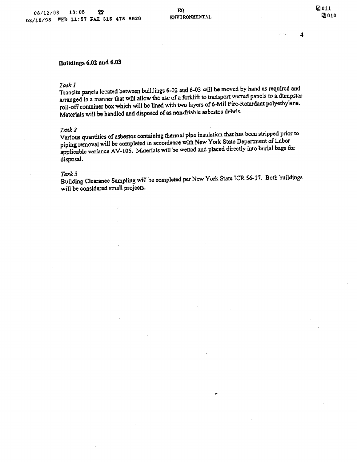$\blacktriangleleft$ 

# Buildings 6.02 and 6.03

### Task 1

Transite panels located between buildings 6-02 and 6-03 will be moved by hand as required and arranged in a manner that will allow the use of a forklift to transport wetted panels to a dumpster roll-off container box which will be lined with two layers of 6-Mil Fire-Retardant polyethylene. Materials will be handled and disposed of as non-friable asbestos debris.

## Task 2

Various quantities of asbestos containing thermal pipe insulation that has been stripped prior to piping removal will be completed in accordance with New York State Department of Labor applicable variance AV-105. Materials will be wetted and placed directly into burial bags for disposal

#### Task 3

Building Clearance Sampling will be completed per New York State ICR 56-17. Both buildings will be considered small projects

r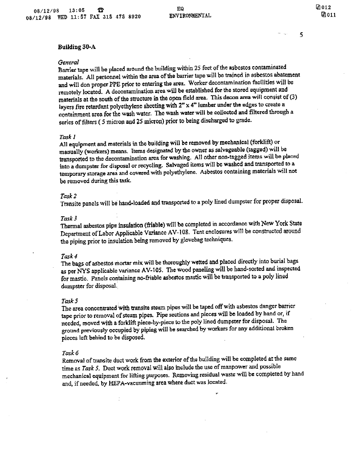## Building 30-A

#### General

Barrier tape will be placed around the building within 25 feet of the asbestos contaminated materials. All personnel within the area of the barrier tape will be trained in asbestos abatement and will don proper PPE prior to entering the area. Worker decontamination facilities will be remotely located. A decontamination area will be established for the stored equipment and materials at the south of the structure in the open field area. This decon area will consist of  $(3)$ layers fire retardant polyethylene sheeting with  $2" \times 4"$  lumber under the edges to create a containment area for the wash water. The wash water will be collected and filtered through a series of filters (5 micron and 25 micron) prior to being discharged to grade.

#### Task

All equipment and materials in the building will be removed by mechanical (forklift) or manually (workers) means. Items designated by the owner as salvageable (tagged) will be transported to the decontamination area for washing All other non-tagged tems will be placed into a dumpster for disposal or recycling. Salvaged items will be washed and transported to a temporary storage area and covered with polyethylene Asbestos containing materials will not be removed during this task

#### Task

Transite panels will be hand-loaded and transported to a poly lined dumpster for proper disposal.

#### Task

Thermal asbestos pipe insulation (friable) will be completed in accordance with New York State Department of Labor Applicable Variance AV-108. Tent enclosures will be constructed around the piping prior to insulation being removed by glovebag techniques

## Task

The bags of asbestos mortar mix will be thoroughly wetted and placed directly into burial bags as per NYS applicable variance AV-105. The wood paneling will be hand-sorted and inspected for mastic. Panels containing no-friable asbestos mastic will be transported to a poly lined dumpster for disposal

#### Task 5

The area concentrated with transite steam pipes will be taped off with asbestos danger barrier tape prior to removal of steam pipes. Pipe sections and pieces will be loaded by hand or, if needed, moved with a forklift piece-by-piece to the poly lined dumpster for disposal. The ground previously occupied by piping will be searched by workers for any additional broken pieces left behind to be disposed

#### Task

Removal of transite duct work from the exterior of the building will be completed at the same time as Task 5. Duct work removal will also include the use of manpower and possible mechanical equipment for lifting purposes. Removing residual waste will be completed by hand and, if needed, by HEPA-vacuuming area where duct was located.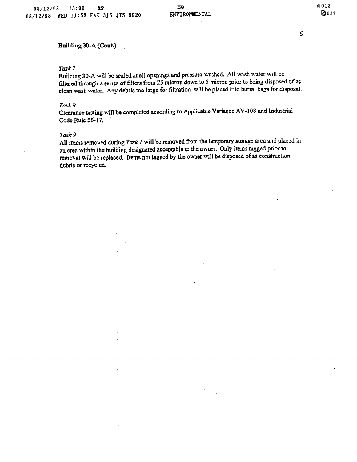# Building 30-A (Cont.)

# Task

Building 30-A will be sealed at all openings and pressure-washed. All wash water will be filtered through a series of filters from 25 micron down to 5 micron prior to being disposed of as clean wash water. Any debris too large for filtration will be placed into burial bags for disposal.

## Task 8

Clearance testing will be completed according to Applicable Variance AV-108 and Industrial Code Rule 56-17

## Task 9

All items removed during Task  $I$  will be removed from the temporary storage area and placed in an area within the building designated acceptable to the owner Only items tagged prior to removal will be replaced. Items not tagged by the owner will be disposed of as construction debris or recycled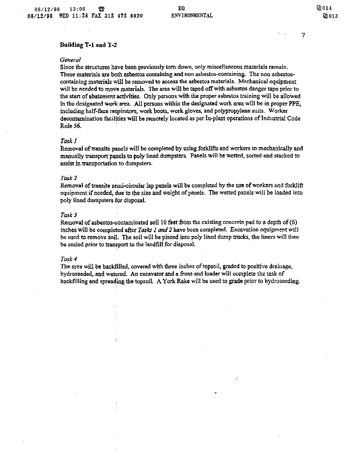$\overline{7}$ 

### Building T-1 and T-2

#### General

Since the structures have been previously torn down, only miscellaneous materials remain. These materials are both asbestos containing and non asbestos-containing. The non asbestoscontaining materials will be removed to access the asbestos materials. Mechanical equipment will be needed to move materials. The area will be taped off with asbestos danger tape prior to the start of abatement activities. Only persons with the proper asbestos training will be allowed in the designated work area. All persons within the designated work area will be in proper PPE, including half-face respirators, work boots, work gloves, and polypropylene suits. Worker decontamination facilities will be remotely located as per In-plant operations of Industrial Code Rule 56

### Task 1

Removal of Iransite panels will be completed by using forkllfts and workers to mechanically and manually transport panels to poly lined dumpsters. Panels will be wetted, sorted and stacked to assist in transportation to dumpaters

## Task 2

Removal of transite semi-circular lap panels will be completed by the use of workers and forklift equipment if needed, due to the size and weight of panels. The wetted panels will be loaded into poly lined dumpsters for disposal.

## Task

Removal of asbestos-contaminated soil 10 feet from the existing concrete pad to a depth of  $(6)$ inches will be completed after Tasks 1 and 2 have been completed. Excavation equipment will be used to remove soil. The soil will be placed into poly lined dump trucks, the liners will then be sealed prior to transport to the landfill for disposal

#### Task 4

The area will be backfilled, covered with three inches of topsoil, graded to positive drainage, hydroseeded, and watered. An excavator and a front-end loader will complete the task of backfilling and spreading the topsoil. A York Rake will be used to grade prior to hydroseeding,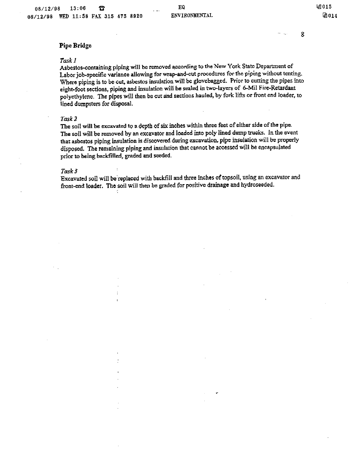# Pipe Bridge

#### $Task1$

Asbestos-containing piping will be removed according to the New York State Department of Labor job-specific variance allowing for wrap-and-cut procedures for the piping without tenting. Where piping is to be cut, asbestos insulation will be glovebagged. Prior to cutting the pipes into eight-foot sections, piping and insulation will be sealed in two-layers of 6-Mil Fire-Retardant polyethylene. The pipes will then be cut and sections hauled, by fork lifts or front end loader, to lined dumpsters for disposal.

#### Task

The soil will be excavated to a depth of six inches within three feet of either side of the pipe. The soil will be removed by an excavator and loaded into poly lined dump trucks. In the event that asbestos piping insulation is discovered during excavation pipe insulation will be properly disposed. The remaining piping and insulation that cannot be accessed will be encapsulated prior to being backfilled, graded and seeded.

#### Task 3

Excavated soil will be replaced with backfill and three inches of topsoil, using an excavator and front-end loader. The soil will then be graded for positive drainage and hydroseeded.